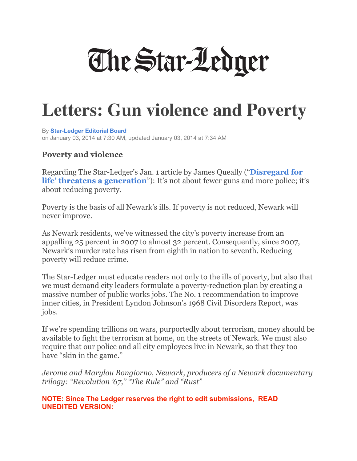

## **Letters: Gun violence and Poverty**

By **Star-Ledger Editorial Board**  on January 03, 2014 at 7:30 AM, updated January 03, 2014 at 7:34 AM

## **Poverty and violence**

Regarding The Star-Ledger's Jan. 1 article by James Queally ("**Disregard for life' threatens a generation**"): It's not about fewer guns and more police; it's about reducing poverty.

Poverty is the basis of all Newark's ills. If poverty is not reduced, Newark will never improve.

As Newark residents, we've witnessed the city's poverty increase from an appalling 25 percent in 2007 to almost 32 percent. Consequently, since 2007, Newark's murder rate has risen from eighth in nation to seventh. Reducing poverty will reduce crime.

The Star-Ledger must educate readers not only to the ills of poverty, but also that we must demand city leaders formulate a poverty-reduction plan by creating a massive number of public works jobs. The No. 1 recommendation to improve inner cities, in President Lyndon Johnson's 1968 Civil Disorders Report, was jobs.

If we're spending trillions on wars, purportedly about terrorism, money should be available to fight the terrorism at home, on the streets of Newark. We must also require that our police and all city employees live in Newark, so that they too have "skin in the game."

*Jerome and Marylou Bongiorno, Newark, producers of a Newark documentary trilogy: "Revolution '67," "The Rule" and "Rust"* 

**NOTE: Since The Ledger reserves the right to edit submissions, READ UNEDITED VERSION:**